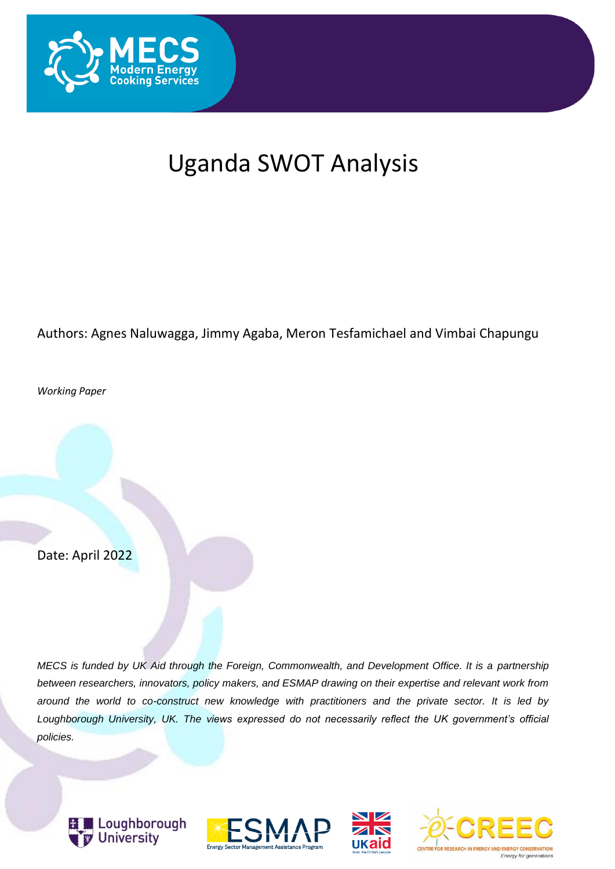

# Uganda SWOT Analysis

#### Authors: Agnes Naluwagga, Jimmy Agaba, Meron Tesfamichael and Vimbai Chapungu

*Working Paper*

Date: April 2022

*MECS is funded by UK Aid through the Foreign, Commonwealth, and Development Office. It is a partnership between researchers, innovators, policy makers, and ESMAP drawing on their expertise and relevant work from around the world to co-construct new knowledge with practitioners and the private sector. It is led by Loughborough University, UK. The views expressed do not necessarily reflect the UK government's official policies.*







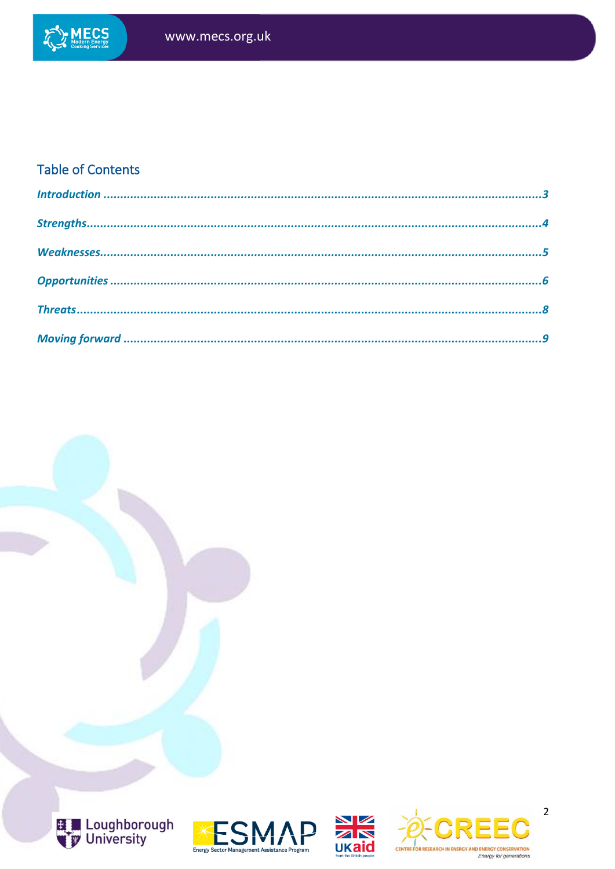

#### **Table of Contents**









 $\overline{2}$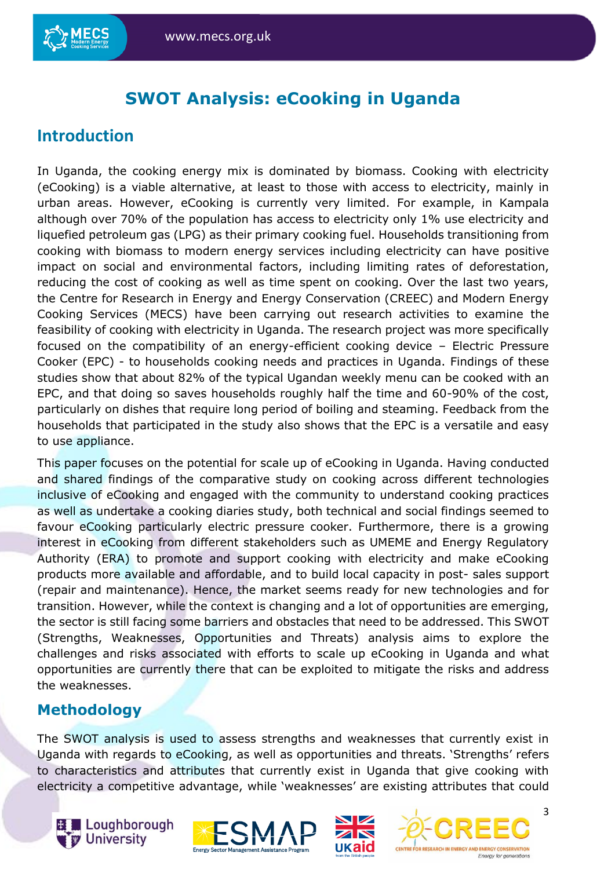## **SWOT Analysis: eCooking in Uganda**

### <span id="page-2-0"></span>**Introduction**

In Uganda, the cooking energy mix is dominated by biomass. Cooking with electricity (eCooking) is a viable alternative, at least to those with access to electricity, mainly in urban areas. However, eCooking is currently very limited. For example, in Kampala although over 70% of the population has access to electricity only 1% use electricity and liquefied petroleum gas (LPG) as their primary cooking fuel. Households transitioning from cooking with biomass to modern energy services including electricity can have positive impact on social and environmental factors, including limiting rates of deforestation, reducing the cost of cooking as well as time spent on cooking. Over the last two years, the Centre for Research in Energy and Energy Conservation (CREEC) and Modern Energy Cooking Services (MECS) have been carrying out research activities to examine the feasibility of cooking with electricity in Uganda. The research project was more specifically focused on the compatibility of an energy-efficient cooking device – Electric Pressure Cooker (EPC) - to households cooking needs and practices in Uganda. Findings of these studies show that about 82% of the typical Ugandan weekly menu can be cooked with an EPC, and that doing so saves households roughly half the time and 60-90% of the cost, particularly on dishes that require long period of boiling and steaming. Feedback from the households that participated in the study also shows that the EPC is a versatile and easy to use appliance.

This paper focuses on the potential for scale up of eCooking in Uganda. Having conducted and shared findings of the comparative study on cooking across different technologies inclusive of eCooking and engaged with the community to understand cooking practices as well as undertake a cooking diaries study, both technical and social findings seemed to favour eCooking particularly electric pressure cooker. Furthermore, there is a growing interest in eCooking from different stakeholders such as UMEME and Energy Regulatory Authority (ERA) to promote and support cooking with electricity and make eCooking products more available and affordable, and to build local capacity in post- sales support (repair and maintenance). Hence, the market seems ready for new technologies and for transition. However, while the context is changing and a lot of opportunities are emerging, the sector is still facing some barriers and obstacles that need to be addressed. This SWOT (Strengths, Weaknesses, Opportunities and Threats) analysis aims to explore the challenges and risks associated with efforts to scale up eCooking in Uganda and what opportunities are currently there that can be exploited to mitigate the risks and address the weaknesses.

#### **Methodology**

The SWOT analysis is used to assess strengths and weaknesses that currently exist in Uganda with regards to eCooking, as well as opportunities and threats. 'Strengths' refers to characteristics and attributes that currently exist in Uganda that give cooking with electricity a competitive advantage, while 'weaknesses' are existing attributes that could







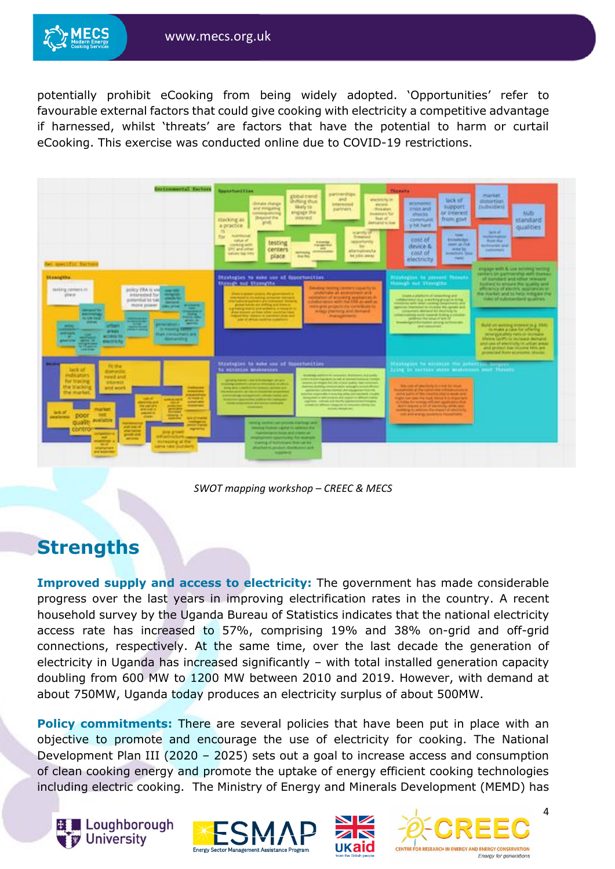

potentially prohibit eCooking from being widely adopted. 'Opportunities' refer to favourable external factors that could give cooking with electricity a competitive advantage if harnessed, whilst 'threats' are factors that have the potential to harm or curtail eCooking. This exercise was conducted online due to COVID-19 restrictions.

| <b>Distinguists! Tachers</b><br>WE apecific factors                                                                                                                                                                                                                                                                                                                                                                                                                                                                                                                                                                                                                                                                                                                                                | <b>Rygner Runch Filipin</b><br>partnerships.<br>three tubbit<br><b>SHARE</b><br><b>WARRING IN</b><br><b><i><u>Initiate</u></i></b> thus<br>division change.<br><b><i><u>Performance</u></i></b><br><b>Kind artist</b><br><b>Nikely to:</b><br>and miligating<br><b>Darfmers</b><br><b>Dealer</b><br><b>IFICADE IPA</b><br>smokia.en.ing<br><b>Invariation's Tor-</b><br><b>Basemed that</b><br>instances.<br><b>Baat of</b><br>ttacking as<br>goldt.<br><b>Jehiand</b> Island<br>а ризопов-<br>n<br>marche of<br><b>NAMING</b><br>tor<br>flywanised<br>status of<br>apportunity<br>testing<br><b><i><u><u>Antiquested</u></u></i></b><br>Looking with<br>Page supervised<br>Tor.<br>size.<br><b>LPC shift affined</b><br>centers<br>alumpionis<br><b>APPLICATES</b><br>salues has like<br>place<br><b>My Hills away</b><br>the fisi-                                                                                                                                                                                                                                                                                                                                                                                                                                                                                                                                                                   | <b>Thomata</b><br><b><i>INJURIE</i></b><br>lack of<br>distantian.<br><b><i>BERAMINIC</i></b><br>support<br><b>Indicatell</b><br><b>Draid and</b><br>slub.<br>or interest.<br>shocks."<br>from govt<br><b>COMMUNITY</b><br>standard<br><b>VINENANT</b><br>qualities<br><b>SHOP AT</b><br><b>COMPANY</b><br><b>PARAMASSAS</b><br>cost of<br><b>International Control</b><br><b>Bush But</b><br>seem as the<br><b>Bodi standard and</b><br>device &<br><b>Jerma Town</b><br><b>Sunkampo</b><br>Your of<br><b>PUBLICAL TUNE</b><br><b>Furnal</b><br>electricity<br>project proteint and Artists Artists                                                                                                                                                                                                                                                                                                                                             |
|----------------------------------------------------------------------------------------------------------------------------------------------------------------------------------------------------------------------------------------------------------------------------------------------------------------------------------------------------------------------------------------------------------------------------------------------------------------------------------------------------------------------------------------------------------------------------------------------------------------------------------------------------------------------------------------------------------------------------------------------------------------------------------------------------|--------------------------------------------------------------------------------------------------------------------------------------------------------------------------------------------------------------------------------------------------------------------------------------------------------------------------------------------------------------------------------------------------------------------------------------------------------------------------------------------------------------------------------------------------------------------------------------------------------------------------------------------------------------------------------------------------------------------------------------------------------------------------------------------------------------------------------------------------------------------------------------------------------------------------------------------------------------------------------------------------------------------------------------------------------------------------------------------------------------------------------------------------------------------------------------------------------------------------------------------------------------------------------------------------------------------------------------------------------------------------------------------------------|-------------------------------------------------------------------------------------------------------------------------------------------------------------------------------------------------------------------------------------------------------------------------------------------------------------------------------------------------------------------------------------------------------------------------------------------------------------------------------------------------------------------------------------------------------------------------------------------------------------------------------------------------------------------------------------------------------------------------------------------------------------------------------------------------------------------------------------------------------------------------------------------------------------------------------------------------|
| <b>Stanngths</b><br>anders TRA is visit and and<br>likeliking salesaris all-<br>place:<br><b>Jobarashed for</b><br>weights.<br><b>Standards</b><br>potential to tak<br><b>Managerial</b><br>Police power<br><b>Britished</b><br>_<br>company'de<br>__<br>plant invitation.<br><b>STATE</b><br><b>MOUNTAINE</b><br>$-0.00000$<br><b>COMME</b><br>- 3<br><b>Common</b><br><b><i><u>ANTINOMIKEE</u></i></b><br><b>Address</b><br>or Days<br>A Free of Females<br>__<br>___<br><b>ATTACK</b><br>gestionals.<br><b><i><u>Ruet Eleminatikal II. ara-</u></i></b><br><b>START</b><br>×<br>demanding.<br><b>ALASTERS</b><br><b>Contract Contract</b><br>standard that<br>27200<br>--                                                                                                                       | Strategies to make use of doportunities<br>through out Strangths.<br><b>Sevelage feeding closeled Edgawity for</b><br>studentske an anseroment and<br>Professional control for processing in<br>control professional control control<br>ventures of atmosfit seamers in<br>shakerated anti-the life as well as<br>gladed habits are stating and distance.<br>weighted projects the committees for<br>planting meets and artifacts a teacher in<br>month placering and membership<br>Print includes will have selling countries have<br>the print handless in the control and<br><b><i>Humagaments</i></b><br>point of official constitue a photography                                                                                                                                                                                                                                                                                                                                                                                                                                                                                                                                                                                                                                                                                                                                                 | revisers on partitionship with bureau.<br>Historyton to crossed Materia<br>shares rathit and standards<br>thosegh mat Thomptha<br>Bindlerd to winters the quality and<br>articlarity's of starting assurances in<br>the market and to help ming as that<br>linear a schedule of instancing and<br>stake of substandard qualities.<br>prior and guardians ground and a<br>menoral anti-men central components and<br>approved interacted to children the option and<br>commentation and harassment comments.<br>suckered a gratefi descarat those premium but<br>United the rend of both if<br>week-fight follow explaint. And will be those com-<br>Build on avenue immens or a EMA<br>and commercial<br>the detailed as supply four antiquiting<br>sensity of alleign helds on statistics.<br>Meldra Lanth, la yoursala derhand.<br>and use of allectricity in when areas<br>and primal line mistered Hits and<br>answered New Academic Moves. |
| <b>Fig. 1974</b><br>tack of<br>domestic<br>indicators<br>need and<br><b>Rot tracing</b><br><b>Infarmul</b><br>the bracking<br>and work.<br>----<br><b>ENE MAINTEE</b><br><b>SALES</b><br><b>ALCOHOL: UN</b><br><b><i><u>AMERICA</u></i></b><br><b>AGENCIARE</b><br><b>Manufacturer</b><br><b>Branchise</b><br><b>Professor and the</b><br>and soars.<br><b><i><u>PLATARE</u></i></b><br>œ<br><b>BOLUE</b><br><b>USERED</b><br><b>PMR</b><br>poor<br>$=$<br><b><i><u>AUSTRIAN</u></i></b><br><b>Schultzierte</b><br>available<br>ouaer<br><b>POSTAGE</b><br><b>DOUTIETO</b><br><b>Particular</b><br><b>Product Service</b><br><b>The Second</b><br>and well up him a case<br>$\equiv$<br><b>ATTENTS</b><br><b>RONAUDE ALTN</b><br>-<br>ana nao jiutoko<br>atalogicate<br><b>Bratistical comment</b> | Strategies to quie use of Reportunities<br>ha minimize enumerous<br>designed dealers by selection, dealerses, and posity<br><b><i>CONTRACTATION IN THE REAL PROPERTY AND A PARTY.</i></b><br><b>STATE TERRITORY EXPLORERS</b><br>propriet to an effigure the individuals and/or hand unformed.<br>countries and contact and attentions of one of<br>manufacture all photographs and participation contemporal protected photographs<br>botal abid industries between a present and<br>administer calculat Hartfiel All Elegants of North<br>Paintings adults up the construction of the form<br>antichtet strannunkk, in projekty arbeit des speziales. It public<br>and property special companies to contact the print. Select<br>domained to with contacts and nascer to officers having<br><b>Michellen and Australian Schleswiger Profession</b><br>coprimed in collection and man who happened contract the final party<br>mental contract on the property construction of the<br>securities for difference straight the of Collections district class.<br><b>STATISTICS</b><br>strong Angle Av.<br>senting constraint call restruction traintings and<br>detecting framework capabal for selections of a<br><b>Ingeltatorcy hook and internals</b><br>strainpresent sportful My Automobile<br>maning of backsmores than Lat-ba-<br>sharifake to produce dominates and<br><b>School Security</b> | Minimum to edilate the printing arrange<br>Irone in enthern shops weaknessed meet Thronks<br>this cost of whenhole is a cost for their<br>sharked at the correlation of calculation in<br>sentual guardic and thus, concerning addition or interact and or<br>right hair late the back home is in drawing in<br>to hopey the several with tark appropriation busi-<br>dent catalog a for all standards artists also<br>Leonary to allow to the mass of shutness<br>costs and anarity systemic to insurancellosis                                                                                                                                                                                                                                                                                                                                                                                                                                |

*SWOT mapping workshop – CREEC & MECS*

## <span id="page-3-0"></span>**Strengths**

**Improved supply and access to electricity:** The government has made considerable progress over the last years in improving electrification rates in the country. A recent household survey by the Uganda Bureau of Statistics indicates that the national electricity access rate has increased to 57%, comprising 19% and 38% on-grid and off-grid connections, respectively. At the same time, over the last decade the generation of electricity in Uganda has increased significantly – with total installed generation capacity doubling from 600 MW to 1200 MW between 2010 and 2019. However, with demand at about 750MW, Uganda today produces an electricity surplus of about 500MW.

**Policy commitments:** There are several policies that have been put in place with an objective to promote and encourage the use of electricity for cooking. The National Development Plan III (2020 – 2025) sets out a goal to increase access and consumption of clean cooking energy and promote the uptake of energy efficient cooking technologies including electric cooking. The Ministry of Energy and Minerals Development (MEMD) has







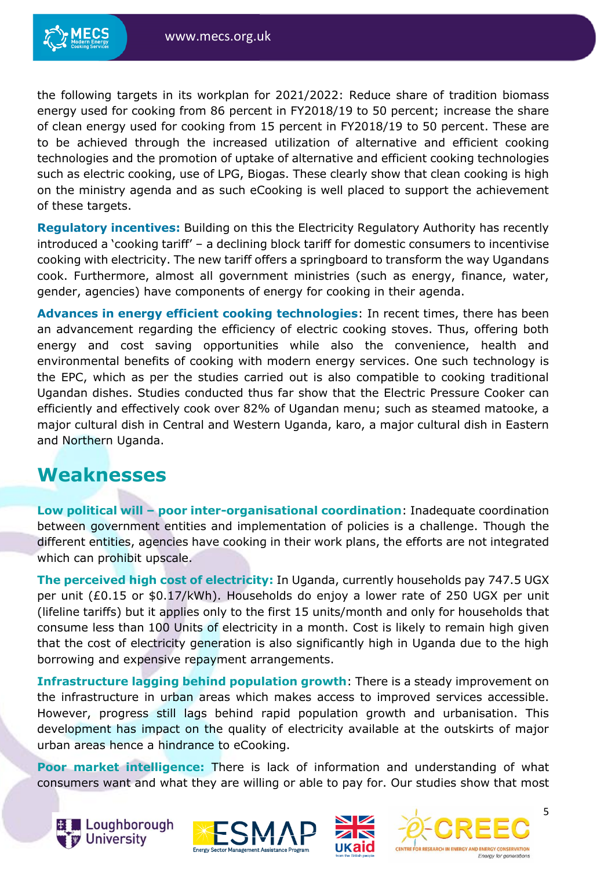the following targets in its workplan for 2021/2022: Reduce share of tradition biomass energy used for cooking from 86 percent in FY2018/19 to 50 percent; increase the share of clean energy used for cooking from 15 percent in FY2018/19 to 50 percent. These are to be achieved through the increased utilization of alternative and efficient cooking technologies and the promotion of uptake of alternative and efficient cooking technologies such as electric cooking, use of LPG, Biogas. These clearly show that clean cooking is high on the ministry agenda and as such eCooking is well placed to support the achievement of these targets.

**Regulatory incentives:** Building on this the Electricity Regulatory Authority has recently introduced a 'cooking tariff' – a declining block tariff for domestic consumers to incentivise cooking with electricity. The new tariff offers a springboard to transform the way Ugandans cook. Furthermore, almost all government ministries (such as energy, finance, water, gender, agencies) have components of energy for cooking in their agenda.

**Advances in energy efficient cooking technologies**: In recent times, there has been an advancement regarding the efficiency of electric cooking stoves. Thus, offering both energy and cost saving opportunities while also the convenience, health and environmental benefits of cooking with modern energy services. One such technology is the EPC, which as per the studies carried out is also compatible to cooking traditional Ugandan dishes. Studies conducted thus far show that the Electric Pressure Cooker can efficiently and effectively cook over 82% of Ugandan menu; such as steamed matooke, a major cultural dish in Central and Western Uganda, karo, a major cultural dish in Eastern and Northern Uganda.

## <span id="page-4-0"></span>**Weaknesses**

**Low political will – poor inter-organisational coordination**: Inadequate coordination between government entities and implementation of policies is a challenge. Though the different entities, agencies have cooking in their work plans, the efforts are not integrated which can prohibit upscale.

**The perceived high cost of electricity:** In Uganda, currently households pay 747.5 UGX per unit (£0.15 or \$0.17/kWh). Households do enjoy a lower rate of 250 UGX per unit (lifeline tariffs) but it applies only to the first 15 units/month and only for households that consume less than 100 Units of electricity in a month. Cost is likely to remain high given that the cost of electricity generation is also significantly high in Uganda due to the high borrowing and expensive repayment arrangements.

**Infrastructure lagging behind population growth**: There is a steady improvement on the infrastructure in urban areas which makes access to improved services accessible. However, progress still lags behind rapid population growth and urbanisation. This development has impact on the quality of electricity available at the outskirts of major urban areas hence a hindrance to eCooking.

**Poor market intelligence:** There is lack of information and understanding of what consumers want and what they are willing or able to pay for. Our studies show that most







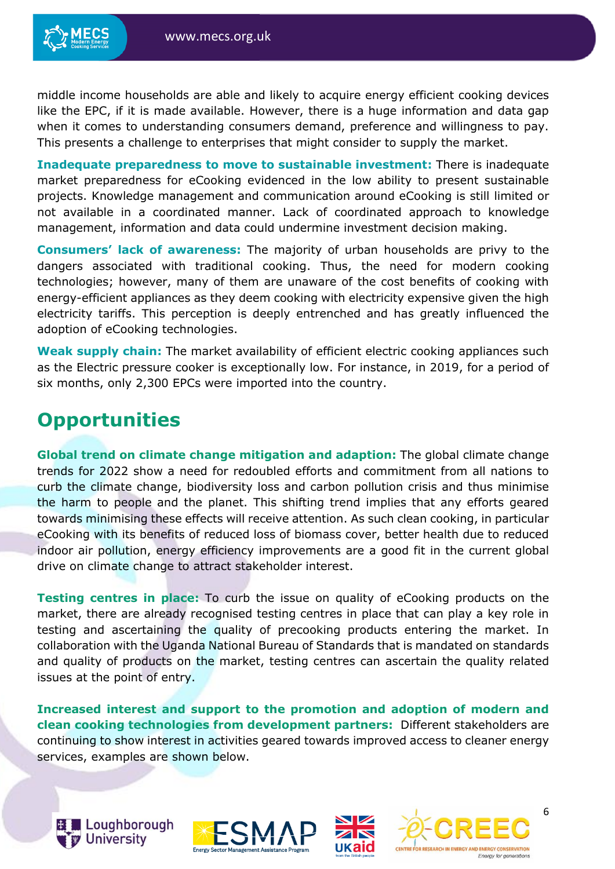middle income households are able and likely to acquire energy efficient cooking devices like the EPC, if it is made available. However, there is a huge information and data gap when it comes to understanding consumers demand, preference and willingness to pay. This presents a challenge to enterprises that might consider to supply the market.

**Inadequate preparedness to move to sustainable investment:** There is inadequate market preparedness for eCooking evidenced in the low ability to present sustainable projects. Knowledge management and communication around eCooking is still limited or not available in a coordinated manner. Lack of coordinated approach to knowledge management, information and data could undermine investment decision making.

**Consumers' lack of awareness:** The majority of urban households are privy to the dangers associated with traditional cooking. Thus, the need for modern cooking technologies; however, many of them are unaware of the cost benefits of cooking with energy-efficient appliances as they deem cooking with electricity expensive given the high electricity tariffs. This perception is deeply entrenched and has greatly influenced the adoption of eCooking technologies.

**Weak supply chain:** The market availability of efficient electric cooking appliances such as the Electric pressure cooker is exceptionally low. For instance, in 2019, for a period of six months, only 2,300 EPCs were imported into the country.

# <span id="page-5-0"></span>**Opportunities**

**Global trend on climate change mitigation and adaption:** The global climate change trends for 2022 show a need for redoubled efforts and commitment from all nations to curb the climate change, biodiversity loss and carbon pollution crisis and thus minimise the harm to people and the planet. This shifting trend implies that any efforts geared towards minimising these effects will receive attention. As such clean cooking, in particular eCooking with its benefits of reduced loss of biomass cover, better health due to reduced indoor air pollution, energy efficiency improvements are a good fit in the current global drive on climate change to attract stakeholder interest.

**Testing centres in place:** To curb the issue on quality of eCooking products on the market, there are already recognised testing centres in place that can play a key role in testing and ascertaining the quality of precooking products entering the market. In collaboration with the Uganda National Bureau of Standards that is mandated on standards and quality of products on the market, testing centres can ascertain the quality related issues at the point of entry.

**Increased interest and support to the promotion and adoption of modern and clean cooking technologies from development partners:** Different stakeholders are continuing to show interest in activities geared towards improved access to cleaner energy services, examples are shown below.







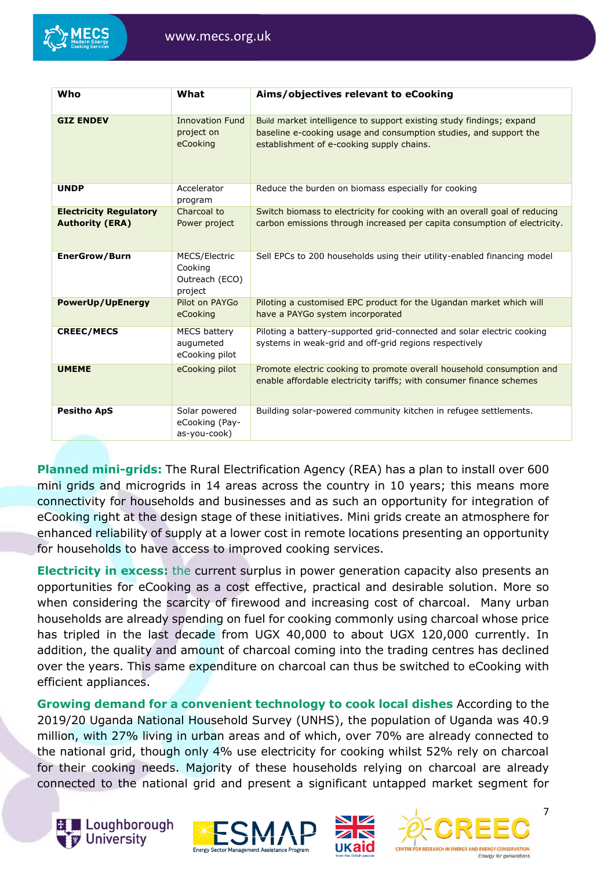

| Who                                                     | What                                                  | Aims/objectives relevant to eCooking                                                                                                                                                   |
|---------------------------------------------------------|-------------------------------------------------------|----------------------------------------------------------------------------------------------------------------------------------------------------------------------------------------|
| <b>GIZ ENDEV</b>                                        | <b>Innovation Fund</b><br>project on<br>eCooking      | Build market intelligence to support existing study findings; expand<br>baseline e-cooking usage and consumption studies, and support the<br>establishment of e-cooking supply chains. |
| <b>UNDP</b>                                             | Accelerator<br>program                                | Reduce the burden on biomass especially for cooking                                                                                                                                    |
| <b>Electricity Regulatory</b><br><b>Authority (ERA)</b> | Charcoal to<br>Power project                          | Switch biomass to electricity for cooking with an overall goal of reducing<br>carbon emissions through increased per capita consumption of electricity.                                |
| <b>EnerGrow/Burn</b>                                    | MECS/Electric<br>Cooking<br>Outreach (ECO)<br>project | Sell EPCs to 200 households using their utility-enabled financing model                                                                                                                |
| <b>PowerUp/UpEnergy</b>                                 | Pilot on PAYGo<br>eCooking                            | Piloting a customised EPC product for the Ugandan market which will<br>have a PAYGo system incorporated                                                                                |
| <b>CREEC/MECS</b>                                       | <b>MECS battery</b><br>augumeted<br>eCooking pilot    | Piloting a battery-supported grid-connected and solar electric cooking<br>systems in weak-grid and off-grid regions respectively                                                       |
| <b>UMEME</b>                                            | eCooking pilot                                        | Promote electric cooking to promote overall household consumption and<br>enable affordable electricity tariffs; with consumer finance schemes                                          |
| <b>Pesitho ApS</b>                                      | Solar powered<br>eCooking (Pay-<br>as-you-cook)       | Building solar-powered community kitchen in refugee settlements.                                                                                                                       |

**Planned mini-grids:** The Rural Electrification Agency (REA) has a plan to install over 600 mini grids and microgrids in 14 areas across the country in 10 years; this means more connectivity for households and businesses and as such an opportunity for integration of eCooking right at the design stage of these initiatives. Mini grids create an atmosphere for enhanced reliability of supply at a lower cost in remote locations presenting an opportunity for households to have access to improved cooking services.

**Electricity in excess:** the current surplus in power generation capacity also presents an opportunities for eCooking as a cost effective, practical and desirable solution. More so when considering the scarcity of firewood and increasing cost of charcoal. Many urban households are already spending on fuel for cooking commonly using charcoal whose price has tripled in the last decade from UGX 40,000 to about UGX 120,000 currently. In addition, the quality and amount of charcoal coming into the trading centres has declined over the years. This same expenditure on charcoal can thus be switched to eCooking with efficient appliances.

**Growing demand for a convenient technology to cook local dishes** According to the 2019/20 Uganda National Household Survey (UNHS), the population of Uganda was 40.9 million, with 27% living in urban areas and of which, over 70% are already connected to the national grid, though only 4% use electricity for cooking whilst 52% rely on charcoal for their cooking needs. Majority of these households relying on charcoal are already connected to the national grid and present a significant untapped market segment for







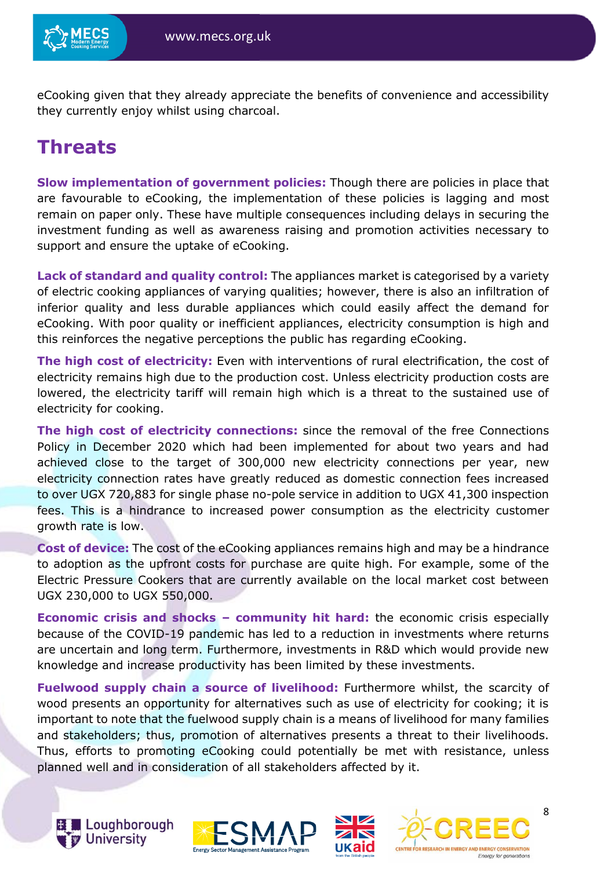

eCooking given that they already appreciate the benefits of convenience and accessibility they currently enjoy whilst using charcoal.

# <span id="page-7-0"></span>**Threats**

**Slow implementation of government policies:** Though there are policies in place that are favourable to eCooking, the implementation of these policies is lagging and most remain on paper only. These have multiple consequences including delays in securing the investment funding as well as awareness raising and promotion activities necessary to support and ensure the uptake of eCooking.

**Lack of standard and quality control:** The appliances market is categorised by a variety of electric cooking appliances of varying qualities; however, there is also an infiltration of inferior quality and less durable appliances which could easily affect the demand for eCooking. With poor quality or inefficient appliances, electricity consumption is high and this reinforces the negative perceptions the public has regarding eCooking.

**The high cost of electricity:** Even with interventions of rural electrification, the cost of electricity remains high due to the production cost. Unless electricity production costs are lowered, the electricity tariff will remain high which is a threat to the sustained use of electricity for cooking.

**The high cost of electricity connections:** since the removal of the free Connections Policy in December 2020 which had been implemented for about two years and had achieved close to the target of 300,000 new electricity connections per year, new electricity connection rates have greatly reduced as domestic connection fees increased to over UGX 720,883 for single phase no-pole service in addition to UGX 41,300 inspection fees. This is a hindrance to increased power consumption as the electricity customer growth rate is low.

**Cost of device:** The cost of the eCooking appliances remains high and may be a hindrance to adoption as the upfront costs for purchase are quite high. For example, some of the Electric Pressure Cookers that are currently available on the local market cost between UGX 230,000 to UGX 550,000.

**Economic crisis and shocks – community hit hard:** the economic crisis especially because of the COVID-19 pandemic has led to a reduction in investments where returns are uncertain and long term. Furthermore, investments in R&D which would provide new knowledge and increase productivity has been limited by these investments.

**Fuelwood supply chain a source of livelihood:** Furthermore whilst, the scarcity of wood presents an opportunity for alternatives such as use of electricity for cooking; it is important to note that the fuelwood supply chain is a means of livelihood for many families and stakeholders; thus, promotion of alternatives presents a threat to their livelihoods. Thus, efforts to promoting eCooking could potentially be met with resistance, unless planned well and in consideration of all stakeholders affected by it.







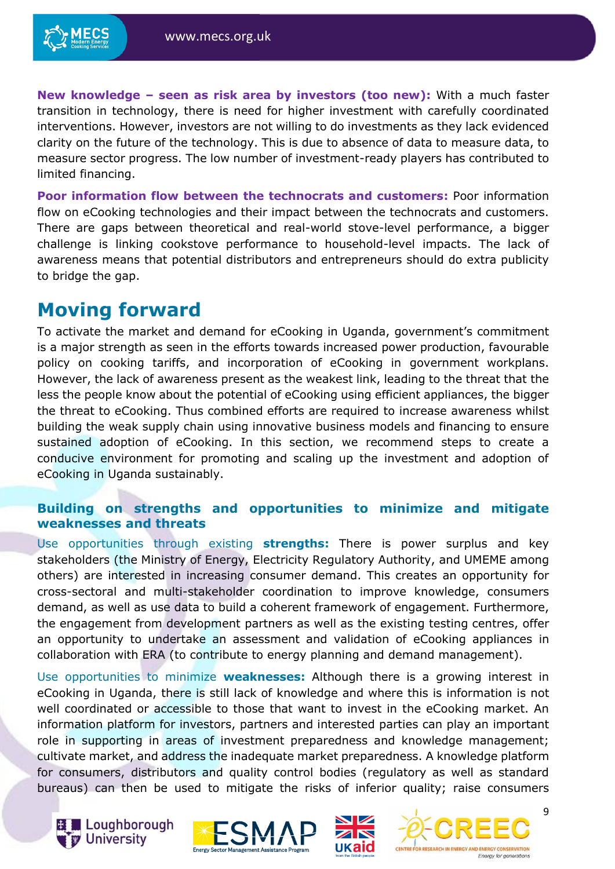**New knowledge – seen as risk area by investors (too new):** With a much faster transition in technology, there is need for higher investment with carefully coordinated interventions. However, investors are not willing to do investments as they lack evidenced clarity on the future of the technology. This is due to absence of data to measure data, to measure sector progress. The low number of investment-ready players has contributed to limited financing.

**Poor information flow between the technocrats and customers:** Poor information flow on eCooking technologies and their impact between the technocrats and customers. There are gaps between theoretical and real-world stove-level performance, a bigger challenge is linking cookstove performance to household-level impacts. The lack of awareness means that potential distributors and entrepreneurs should do extra publicity to bridge the gap.

## <span id="page-8-0"></span>**Moving forward**

To activate the market and demand for eCooking in Uganda, government's commitment is a major strength as seen in the efforts towards increased power production, favourable policy on cooking tariffs, and incorporation of eCooking in government workplans. However, the lack of awareness present as the weakest link, leading to the threat that the less the people know about the potential of eCooking using efficient appliances, the bigger the threat to eCooking. Thus combined efforts are required to increase awareness whilst building the weak supply chain using innovative business models and financing to ensure sustained adoption of eCooking. In this section, we recommend steps to create a conducive environment for promoting and scaling up the investment and adoption of eCooking in Uganda sustainably.

#### **Building on strengths and opportunities to minimize and mitigate weaknesses and threats**

Use opportunities through existing **strengths:** There is power surplus and key stakeholders (the Ministry of Energy, Electricity Regulatory Authority, and UMEME among others) are interested in increasing consumer demand. This creates an opportunity for cross-sectoral and multi-stakeholder coordination to improve knowledge, consumers demand, as well as use data to build a coherent framework of engagement. Furthermore, the engagement from development partners as well as the existing testing centres, offer an opportunity to undertake an assessment and validation of eCooking appliances in collaboration with ERA (to contribute to energy planning and demand management).

Use opportunities to minimize **weaknesses:** Although there is a growing interest in eCooking in Uganda, there is still lack of knowledge and where this is information is not well coordinated or accessible to those that want to invest in the eCooking market. An information platform for investors, partners and interested parties can play an important role in supporting in areas of investment preparedness and knowledge management; cultivate market, and address the inadequate market preparedness. A knowledge platform for consumers, distributors and quality control bodies (regulatory as well as standard bureaus) can then be used to mitigate the risks of inferior quality; raise consumers